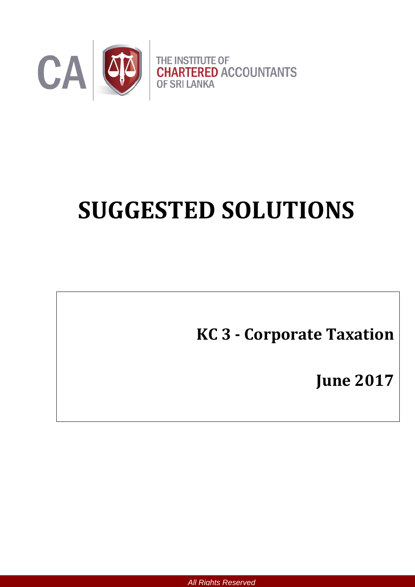

# **SUGGESTED SOLUTIONS**

**KC 3 - Corporate Taxation**

**June 2017**

*All Rights Reserved*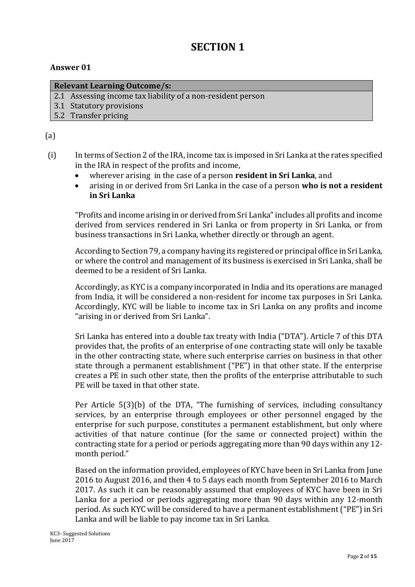# **SECTION 1**

#### **Answer 01**

#### **Relevant Learning Outcome/s:**

- 2.1 Assessing income tax liability of a non-resident person
- 3.1 Statutory provisions
- 5.2 Transfer pricing

# (a)

- (i) In terms of Section 2 of the IRA, income tax is imposed in Sri Lanka at the rates specified in the IRA in respect of the profits and income,
	- wherever arising in the case of a person **resident in Sri Lanka**, and
	- arising in or derived from Sri Lanka in the case of a person **who is not a resident in Sri Lanka**

"Profits and income arising in or derived from Sri Lanka" includes all profits and income derived from services rendered in Sri Lanka or from property in Sri Lanka, or from business transactions in Sri Lanka, whether directly or through an agent.

According to Section 79, a company having its registered or principal office in Sri Lanka, or where the control and management of its business is exercised in Sri Lanka, shall be deemed to be a resident of Sri Lanka.

Accordingly, as KYC is a company incorporated in India and its operations are managed from India, it will be considered a non-resident for income tax purposes in Sri Lanka. Accordingly, KYC will be liable to income tax in Sri Lanka on any profits and income "arising in or derived from Sri Lanka".

Sri Lanka has entered into a double tax treaty with India ("DTA"). Article 7 of this DTA provides that, the profits of an enterprise of one contracting state will only be taxable in the other contracting state, where such enterprise carries on business in that other state through a permanent establishment ("PE") in that other state. If the enterprise creates a PE in such other state, then the profits of the enterprise attributable to such PE will be taxed in that other state.

Per Article 5(3)(b) of the DTA, "The furnishing of services, including consultancy services, by an enterprise through employees or other personnel engaged by the enterprise for such purpose, constitutes a permanent establishment, but only where activities of that nature continue (for the same or connected project) within the contracting state for a period or periods aggregating more than 90 days within any 12 month period."

Based on the information provided, employees of KYC have been in Sri Lanka from June 2016 to August 2016, and then 4 to 5 days each month from September 2016 to March 2017. As such it can be reasonably assumed that employees of KYC have been in Sri Lanka for a period or periods aggregating more than 90 days within any 12-month period. As such KYC will be considered to have a permanent establishment ("PE") in Sri Lanka and will be liable to pay income tax in Sri Lanka.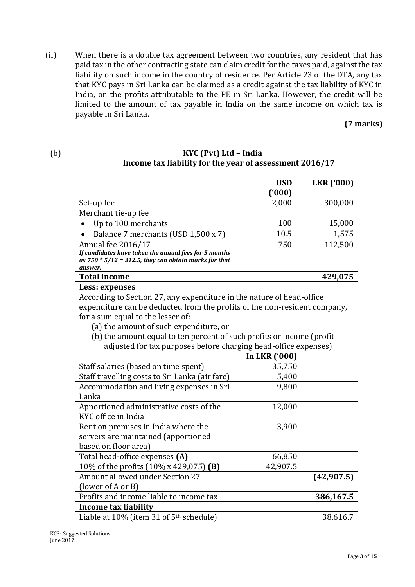(ii) When there is a double tax agreement between two countries, any resident that has paid tax in the other contracting state can claim credit for the taxes paid, against the tax liability on such income in the country of residence. Per Article 23 of the DTA, any tax that KYC pays in Sri Lanka can be claimed as a credit against the tax liability of KYC in India, on the profits attributable to the PE in Sri Lanka. However, the credit will be limited to the amount of tax payable in India on the same income on which tax is payable in Sri Lanka.

# **(7 marks)**

#### (b) **KYC (Pvt) Ltd – India Income tax liability for the year of assessment 2016/17**

|                                                                                                                              | <b>USD</b>    | <b>LKR</b> ('000) |  |
|------------------------------------------------------------------------------------------------------------------------------|---------------|-------------------|--|
|                                                                                                                              | (000)         |                   |  |
| Set-up fee                                                                                                                   | 2,000         | 300,000           |  |
| Merchant tie-up fee                                                                                                          |               |                   |  |
| Up to 100 merchants                                                                                                          | 100           | 15,000            |  |
| Balance 7 merchants (USD 1,500 x 7)                                                                                          | 10.5          | 1,575             |  |
| Annual fee 2016/17                                                                                                           | 750           | 112,500           |  |
| If candidates have taken the annual fees for 5 months<br>as $750 * 5/12 = 312.5$ , they can obtain marks for that<br>answer. |               |                   |  |
| <b>Total income</b>                                                                                                          |               | 429,075           |  |
| Less: expenses                                                                                                               |               |                   |  |
| According to Section 27, any expenditure in the nature of head-office                                                        |               |                   |  |
| expenditure can be deducted from the profits of the non-resident company,                                                    |               |                   |  |
| for a sum equal to the lesser of:                                                                                            |               |                   |  |
| (a) the amount of such expenditure, or                                                                                       |               |                   |  |
| (b) the amount equal to ten percent of such profits or income (profit                                                        |               |                   |  |
| adjusted for tax purposes before charging head-office expenses)                                                              |               |                   |  |
|                                                                                                                              | In LKR ('000) |                   |  |
| Staff salaries (based on time spent)                                                                                         | 35,750        |                   |  |
| Staff travelling costs to Sri Lanka (air fare)                                                                               | 5,400         |                   |  |
| Accommodation and living expenses in Sri                                                                                     | 9,800         |                   |  |
| Lanka                                                                                                                        |               |                   |  |
| Apportioned administrative costs of the<br>KYC office in India                                                               | 12,000        |                   |  |
| Rent on premises in India where the                                                                                          | 3,900         |                   |  |
| servers are maintained (apportioned                                                                                          |               |                   |  |
| based on floor area)                                                                                                         |               |                   |  |
| Total head-office expenses (A)                                                                                               | 66,850        |                   |  |
| 10% of the profits (10% x 429,075) (B)                                                                                       | 42,907.5      |                   |  |
| <b>Amount allowed under Section 27</b>                                                                                       |               | (42, 907.5)       |  |
| (lower of A or B)                                                                                                            |               |                   |  |
| Profits and income liable to income tax                                                                                      |               | 386,167.5         |  |
| <b>Income tax liability</b>                                                                                                  |               |                   |  |
| Liable at 10% (item 31 of 5 <sup>th</sup> schedule)                                                                          |               | 38,616.7          |  |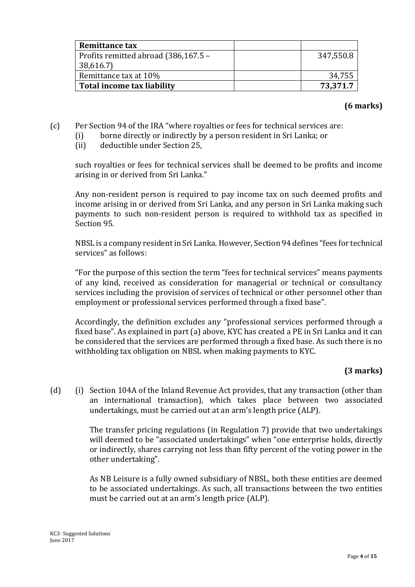| <b>Remittance tax</b>                |           |
|--------------------------------------|-----------|
| Profits remitted abroad (386,167.5 – | 347,550.8 |
| 38,616.7)                            |           |
| Remittance tax at 10%                | 34,755    |
| Total income tax liability           | 73,371.7  |

# **(6 marks)**

- (c) Per Section 94 of the IRA "where royalties or fees for technical services are:
	- (i) borne directly or indirectly by a person resident in Sri Lanka; or
	- (ii) deductible under Section 25,

such royalties or fees for technical services shall be deemed to be profits and income arising in or derived from Sri Lanka."

Any non-resident person is required to pay income tax on such deemed profits and income arising in or derived from Sri Lanka, and any person in Sri Lanka making such payments to such non-resident person is required to withhold tax as specified in Section 95.

NBSL is a company resident in Sri Lanka. However, Section 94 defines "fees for technical services" as follows:

"For the purpose of this section the term "fees for technical services" means payments of any kind, received as consideration for managerial or technical or consultancy services including the provision of services of technical or other personnel other than employment or professional services performed through a fixed base".

Accordingly, the definition excludes any "professional services performed through a fixed base". As explained in part (a) above, KYC has created a PE in Sri Lanka and it can be considered that the services are performed through a fixed base. As such there is no withholding tax obligation on NBSL when making payments to KYC.

# **(3 marks)**

(d) (i) Section 104A of the Inland Revenue Act provides, that any transaction (other than an international transaction), which takes place between two associated undertakings, must be carried out at an arm's length price (ALP).

> The transfer pricing regulations (in Regulation 7) provide that two undertakings will deemed to be "associated undertakings" when "one enterprise holds, directly or indirectly, shares carrying not less than fifty percent of the voting power in the other undertaking".

> As NB Leisure is a fully owned subsidiary of NBSL, both these entities are deemed to be associated undertakings. As such, all transactions between the two entities must be carried out at an arm's length price (ALP).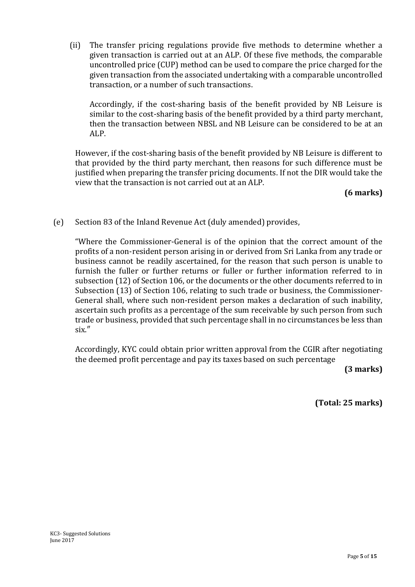(ii) The transfer pricing regulations provide five methods to determine whether a given transaction is carried out at an ALP. Of these five methods, the comparable uncontrolled price (CUP) method can be used to compare the price charged for the given transaction from the associated undertaking with a comparable uncontrolled transaction, or a number of such transactions.

Accordingly, if the cost-sharing basis of the benefit provided by NB Leisure is similar to the cost-sharing basis of the benefit provided by a third party merchant, then the transaction between NBSL and NB Leisure can be considered to be at an ALP.

However, if the cost-sharing basis of the benefit provided by NB Leisure is different to that provided by the third party merchant, then reasons for such difference must be justified when preparing the transfer pricing documents. If not the DIR would take the view that the transaction is not carried out at an ALP.

#### **(6 marks)**

(e) Section 83 of the Inland Revenue Act (duly amended) provides,

"Where the Commissioner-General is of the opinion that the correct amount of the profits of a non-resident person arising in or derived from Sri Lanka from any trade or business cannot be readily ascertained, for the reason that such person is unable to furnish the fuller or further returns or fuller or further information referred to in subsection (12) of Section 106, or the documents or the other documents referred to in Subsection (13) of Section 106, relating to such trade or business, the Commissioner-General shall, where such non-resident person makes a declaration of such inability, ascertain such profits as a percentage of the sum receivable by such person from such trade or business, provided that such percentage shall in no circumstances be less than six.″

Accordingly, KYC could obtain prior written approval from the CGIR after negotiating the deemed profit percentage and pay its taxes based on such percentage

**(3 marks)**

**(Total: 25 marks)**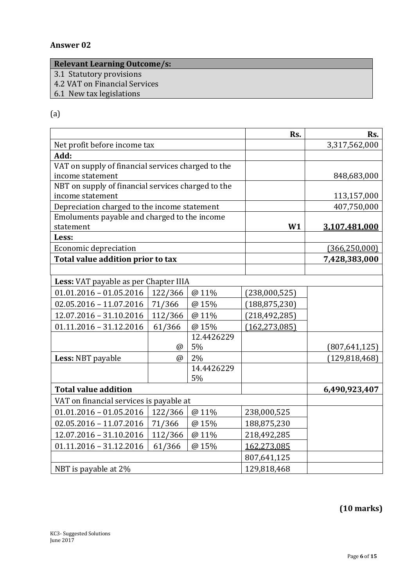# **Answer 02**

# **Relevant Learning Outcome/s:**

- 3.1 Statutory provisions
- 4.2 VAT on Financial Services
- 6.1 New tax legislations

# (a)

|                                                    |          |            | Rs.             | Rs.             |
|----------------------------------------------------|----------|------------|-----------------|-----------------|
| Net profit before income tax                       |          |            |                 | 3,317,562,000   |
| Add:                                               |          |            |                 |                 |
| VAT on supply of financial services charged to the |          |            |                 |                 |
| income statement                                   |          |            |                 | 848,683,000     |
| NBT on supply of financial services charged to the |          |            |                 |                 |
| income statement                                   |          |            |                 | 113,157,000     |
| Depreciation charged to the income statement       |          |            |                 | 407,750,000     |
| Emoluments payable and charged to the income       |          |            |                 |                 |
| statement                                          |          |            | W1              | 3,107,481,000   |
| Less:                                              |          |            |                 |                 |
| Economic depreciation                              |          |            |                 | (366, 250, 000) |
| Total value addition prior to tax                  |          |            |                 | 7,428,383,000   |
|                                                    |          |            |                 |                 |
| Less: VAT payable as per Chapter IIIA              |          |            |                 |                 |
| $01.01.2016 - 01.05.2016$                          | 122/366  | @ 11%      | (238,000,525)   |                 |
| $02.05.2016 - 11.07.2016$                          | 71/366   | @ 15%      | (188, 875, 230) |                 |
| 12.07.2016 - 31.10.2016                            | 112/366  | @ 11%      | (218, 492, 285) |                 |
| $01.11.2016 - 31.12.2016$                          | 61/366   | @ 15%      | (162, 273, 085) |                 |
|                                                    |          | 12.4426229 |                 |                 |
|                                                    | @        | 5%         |                 | (807, 641, 125) |
| Less: NBT payable                                  | $\omega$ | 2%         |                 | (129, 818, 468) |
|                                                    |          | 14.4426229 |                 |                 |
|                                                    |          | 5%         |                 |                 |
| <b>Total value addition</b>                        |          |            |                 | 6,490,923,407   |
| VAT on financial services is payable at            |          |            |                 |                 |
| $01.01.2016 - 01.05.2016$                          | 122/366  | @ 11%      | 238,000,525     |                 |
| $02.05.2016 - 11.07.2016$                          | 71/366   | @ 15%      | 188,875,230     |                 |
| 12.07.2016 - 31.10.2016                            | 112/366  | @ 11%      | 218,492,285     |                 |
| $01.11.2016 - 31.12.2016$                          | 61/366   | @ 15%      | 162,273,085     |                 |
|                                                    |          |            | 807,641,125     |                 |
| NBT is payable at 2%                               |          |            | 129,818,468     |                 |

# **(10 marks)**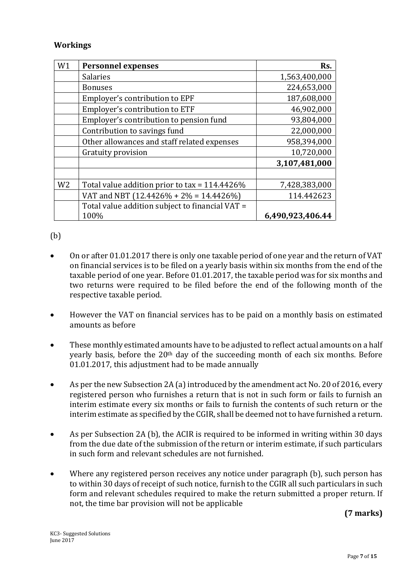#### **Workings**

| W1             | <b>Personnel expenses</b>                       | Rs.              |
|----------------|-------------------------------------------------|------------------|
|                | <b>Salaries</b>                                 | 1,563,400,000    |
|                | <b>Bonuses</b>                                  | 224,653,000      |
|                | Employer's contribution to EPF                  | 187,608,000      |
|                | Employer's contribution to ETF                  | 46,902,000       |
|                | Employer's contribution to pension fund         | 93,804,000       |
|                | Contribution to savings fund                    | 22,000,000       |
|                | Other allowances and staff related expenses     | 958,394,000      |
|                | Gratuity provision                              | 10,720,000       |
|                |                                                 | 3,107,481,000    |
|                |                                                 |                  |
| W <sub>2</sub> | Total value addition prior to tax = 114.4426%   | 7,428,383,000    |
|                | VAT and NBT (12.4426% + 2% = 14.4426%)          | 114.442623       |
|                | Total value addition subject to financial VAT = |                  |
|                | 100%                                            | 6,490,923,406.44 |

(b)

- On or after 01.01.2017 there is only one taxable period of one year and the return of VAT on financial services is to be filed on a yearly basis within six months from the end of the taxable period of one year. Before 01.01.2017, the taxable period was for six months and two returns were required to be filed before the end of the following month of the respective taxable period.
- However the VAT on financial services has to be paid on a monthly basis on estimated amounts as before
- These monthly estimated amounts have to be adjusted to reflect actual amounts on a half yearly basis, before the 20<sup>th</sup> day of the succeeding month of each six months. Before 01.01.2017, this adjustment had to be made annually
- As per the new Subsection 2A (a) introduced by the amendment act No. 20 of 2016, every registered person who furnishes a return that is not in such form or fails to furnish an interim estimate every six months or fails to furnish the contents of such return or the interim estimate as specified by the CGIR, shall be deemed not to have furnished a return.
- As per Subsection 2A (b), the ACIR is required to be informed in writing within 30 days from the due date of the submission of the return or interim estimate, if such particulars in such form and relevant schedules are not furnished.
- Where any registered person receives any notice under paragraph (b), such person has to within 30 days of receipt of such notice, furnish to the CGIR all such particulars in such form and relevant schedules required to make the return submitted a proper return. If not, the time bar provision will not be applicable

**(7 marks)**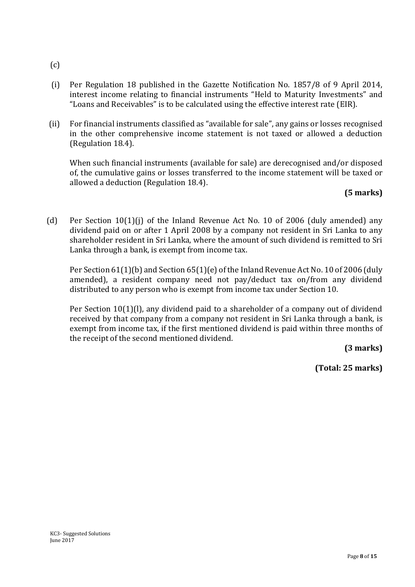- (c)
- (i) Per Regulation 18 published in the Gazette Notification No. 1857/8 of 9 April 2014, interest income relating to financial instruments "Held to Maturity Investments" and "Loans and Receivables" is to be calculated using the effective interest rate (EIR).
- (ii) For financial instruments classified as "available for sale", any gains or losses recognised in the other comprehensive income statement is not taxed or allowed a deduction (Regulation 18.4).

When such financial instruments (available for sale) are derecognised and/or disposed of, the cumulative gains or losses transferred to the income statement will be taxed or allowed a deduction (Regulation 18.4).

# **(5 marks)**

(d) Per Section 10(1)(j) of the Inland Revenue Act No. 10 of 2006 (duly amended) any dividend paid on or after 1 April 2008 by a company not resident in Sri Lanka to any shareholder resident in Sri Lanka, where the amount of such dividend is remitted to Sri Lanka through a bank, is exempt from income tax.

Per Section 61(1)(b) and Section 65(1)(e) of the Inland Revenue Act No. 10 of 2006 (duly amended), a resident company need not pay/deduct tax on/from any dividend distributed to any person who is exempt from income tax under Section 10.

Per Section 10(1)(l), any dividend paid to a shareholder of a company out of dividend received by that company from a company not resident in Sri Lanka through a bank, is exempt from income tax, if the first mentioned dividend is paid within three months of the receipt of the second mentioned dividend.

**(3 marks)**

**(Total: 25 marks)**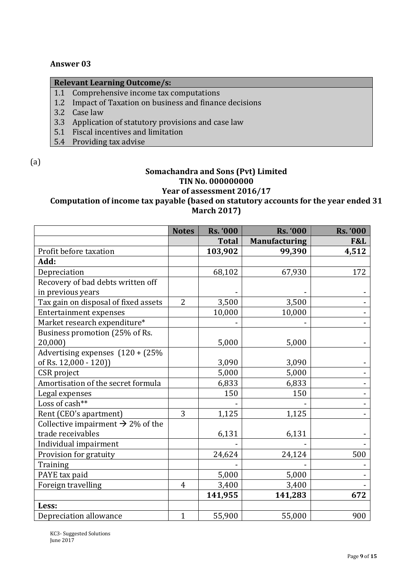#### **Answer 03**

# **Relevant Learning Outcome/s:** 1.1 Comprehensive income tax computations 1.2 Impact of Taxation on business and finance decisions 3.2 Case law 3.3 Application of statutory provisions and case law 5.1 Fiscal incentives and limitation

5.4 Providing tax advise

(a)

#### **Somachandra and Sons (Pvt) Limited TIN No. 000000000 Year of assessment 2016/17**

# **Computation of income tax payable (based on statutory accounts for the year ended 31 March 2017)**

|                                               | <b>Notes</b>   | <b>Rs. '000</b> | <b>Rs. '000</b>      | <b>Rs. '000</b> |
|-----------------------------------------------|----------------|-----------------|----------------------|-----------------|
|                                               |                | <b>Total</b>    | <b>Manufacturing</b> | F&L             |
| Profit before taxation                        |                | 103,902         | 99,390               | 4,512           |
| Add:                                          |                |                 |                      |                 |
| Depreciation                                  |                | 68,102          | 67,930               | 172             |
| Recovery of bad debts written off             |                |                 |                      |                 |
| in previous years                             |                |                 |                      |                 |
| Tax gain on disposal of fixed assets          | $\overline{2}$ | 3,500           | 3,500                |                 |
| <b>Entertainment expenses</b>                 |                | 10,000          | 10,000               |                 |
| Market research expenditure*                  |                |                 |                      |                 |
| Business promotion (25% of Rs.                |                |                 |                      |                 |
| 20,000)                                       |                | 5,000           | 5,000                |                 |
| Advertising expenses $(120 + (25%)$           |                |                 |                      |                 |
| of Rs. 12,000 - 120))                         |                | 3,090           | 3,090                |                 |
| CSR project                                   |                | 5,000           | 5,000                |                 |
| Amortisation of the secret formula            |                | 6,833           | 6,833                |                 |
| Legal expenses                                |                | 150             | 150                  |                 |
| Loss of cash**                                |                |                 |                      |                 |
| Rent (CEO's apartment)                        | 3              | 1,125           | 1,125                |                 |
| Collective impairment $\rightarrow$ 2% of the |                |                 |                      |                 |
| trade receivables                             |                | 6,131           | 6,131                |                 |
| Individual impairment                         |                |                 |                      |                 |
| Provision for gratuity                        |                | 24,624          | 24,124               | 500             |
| Training                                      |                |                 |                      |                 |
| PAYE tax paid                                 |                | 5,000           | 5,000                |                 |
| Foreign travelling                            | $\overline{4}$ | 3,400           | 3,400                |                 |
|                                               |                | 141,955         | 141,283              | 672             |
| Less:                                         |                |                 |                      |                 |
| Depreciation allowance                        | $\mathbf{1}$   | 55,900          | 55,000               | 900             |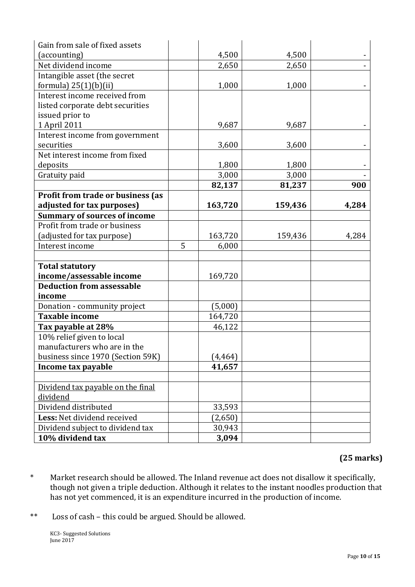| Gain from sale of fixed assets      |   |          |         |       |
|-------------------------------------|---|----------|---------|-------|
| (accounting)                        |   | 4,500    | 4,500   |       |
| Net dividend income                 |   | 2,650    | 2,650   |       |
| Intangible asset (the secret        |   |          |         |       |
| formula) $25(1)(b)(ii)$             |   | 1,000    | 1,000   |       |
| Interest income received from       |   |          |         |       |
| listed corporate debt securities    |   |          |         |       |
| issued prior to                     |   |          |         |       |
| 1 April 2011                        |   | 9,687    | 9,687   |       |
| Interest income from government     |   |          |         |       |
| securities                          |   | 3,600    | 3,600   |       |
| Net interest income from fixed      |   |          |         |       |
| deposits                            |   | 1,800    | 1,800   |       |
| Gratuity paid                       |   | 3,000    | 3,000   |       |
|                                     |   | 82,137   | 81,237  | 900   |
| Profit from trade or business (as   |   |          |         |       |
| adjusted for tax purposes)          |   | 163,720  | 159,436 | 4,284 |
| <b>Summary of sources of income</b> |   |          |         |       |
| Profit from trade or business       |   |          |         |       |
| (adjusted for tax purpose)          |   | 163,720  | 159,436 | 4,284 |
| Interest income                     | 5 | 6,000    |         |       |
|                                     |   |          |         |       |
| <b>Total statutory</b>              |   |          |         |       |
| income/assessable income            |   | 169,720  |         |       |
| <b>Deduction from assessable</b>    |   |          |         |       |
| income                              |   |          |         |       |
| Donation - community project        |   | (5,000)  |         |       |
| <b>Taxable income</b>               |   | 164,720  |         |       |
| Tax payable at 28%                  |   | 46,122   |         |       |
| 10% relief given to local           |   |          |         |       |
| manufacturers who are in the        |   |          |         |       |
| business since 1970 (Section 59K)   |   | (4, 464) |         |       |
| Income tax payable                  |   | 41,657   |         |       |
|                                     |   |          |         |       |
| Dividend tax payable on the final   |   |          |         |       |
| dividend                            |   |          |         |       |
| Dividend distributed                |   | 33,593   |         |       |
| Less: Net dividend received         |   | (2,650)  |         |       |
| Dividend subject to dividend tax    |   | 30,943   |         |       |
| 10% dividend tax                    |   | 3,094    |         |       |

# **(25 marks)**

- \* Market research should be allowed. The Inland revenue act does not disallow it specifically, though not given a triple deduction. Although it relates to the instant noodles production that has not yet commenced, it is an expenditure incurred in the production of income.
- \*\* Loss of cash this could be argued. Should be allowed.

KC3- Suggested Solutions June 2017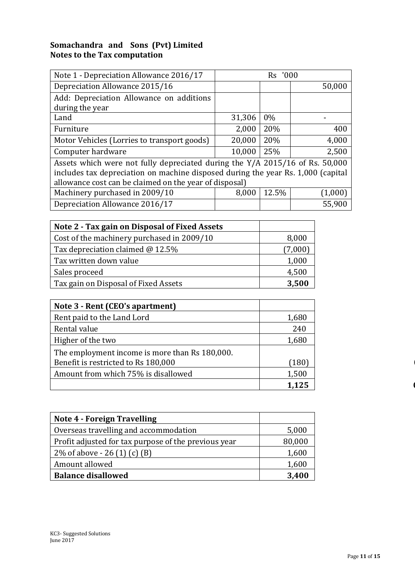#### **Somachandra and Sons (Pvt) Limited Notes to the Tax computation**

| Note 1 - Depreciation Allowance 2016/17                                          |        | Rs '000 |         |  |
|----------------------------------------------------------------------------------|--------|---------|---------|--|
| Depreciation Allowance 2015/16                                                   |        |         | 50,000  |  |
| Add: Depreciation Allowance on additions                                         |        |         |         |  |
| during the year                                                                  |        |         |         |  |
| Land                                                                             | 31,306 | $0\%$   |         |  |
| Furniture                                                                        | 2,000  | 20%     | 400     |  |
| Motor Vehicles (Lorries to transport goods)                                      | 20,000 | 20%     | 4,000   |  |
| Computer hardware                                                                | 10,000 | 25%     | 2,500   |  |
| Assets which were not fully depreciated during the Y/A 2015/16 of Rs. 50,000     |        |         |         |  |
| includes tax depreciation on machine disposed during the year Rs. 1,000 (capital |        |         |         |  |
| allowance cost can be claimed on the year of disposal)                           |        |         |         |  |
| Machinery purchased in 2009/10                                                   | 8,000  | 12.5%   | (1,000) |  |
| Depreciation Allowance 2016/17                                                   |        |         | 55,900  |  |

| Note 2 - Tax gain on Disposal of Fixed Assets |         |
|-----------------------------------------------|---------|
| Cost of the machinery purchased in 2009/10    | 8,000   |
| Tax depreciation claimed @ 12.5%              | (7,000) |
| Tax written down value                        | 1,000   |
| Sales proceed                                 | 4,500   |
| Tax gain on Disposal of Fixed Assets          | 3,500   |

| Note 3 - Rent (CEO's apartment)                |       |
|------------------------------------------------|-------|
| Rent paid to the Land Lord                     | 1,680 |
| Rental value                                   | 240   |
| Higher of the two                              | 1,680 |
| The employment income is more than Rs 180,000. |       |
| Benefit is restricted to Rs 180,000            | (180) |
| Amount from which 75% is disallowed            | 1,500 |
|                                                | 1,125 |

| <b>Note 4 - Foreign Travelling</b>                   |        |
|------------------------------------------------------|--------|
| Overseas travelling and accommodation                | 5,000  |
| Profit adjusted for tax purpose of the previous year | 80,000 |
| 2\% of above $-26(1)(c)(B)$                          | 1,600  |
| Amount allowed                                       | 1,600  |
| <b>Balance disallowed</b>                            | 3,400  |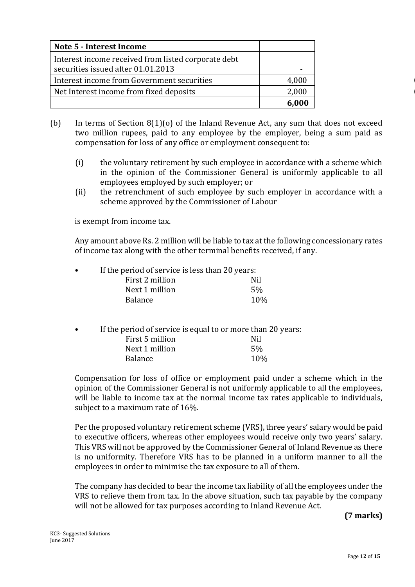| Note 5 - Interest Income                                                                  |                          |
|-------------------------------------------------------------------------------------------|--------------------------|
| Interest income received from listed corporate debt<br>securities issued after 01.01.2013 | $\overline{\phantom{0}}$ |
| Interest income from Government securities                                                | 4,000                    |
| Net Interest income from fixed deposits                                                   | 2,000                    |
|                                                                                           | 6,000                    |

- (b) In terms of Section 8(1)(o) of the Inland Revenue Act, any sum that does not exceed two million rupees, paid to any employee by the employer, being a sum paid as compensation for loss of any office or employment consequent to:
	- (i) the voluntary retirement by such employee in accordance with a scheme which in the opinion of the Commissioner General is uniformly applicable to all employees employed by such employer; or
	- (ii) the retrenchment of such employee by such employer in accordance with a scheme approved by the Commissioner of Labour

is exempt from income tax.

Any amount above Rs. 2 million will be liable to tax at the following concessionary rates of income tax along with the other terminal benefits received, if any.

| $\bullet$ | If the period of service is less than 20 years: |     |
|-----------|-------------------------------------------------|-----|
|           | First 2 million                                 | Nil |
|           | Next 1 million                                  | 5%  |
|           | <b>Balance</b>                                  | 10% |

If the period of service is equal to or more than 20 years:

| First 5 million | Nil |
|-----------------|-----|
| Next 1 million  | 5%  |
| <b>Balance</b>  | 10% |

Compensation for loss of office or employment paid under a scheme which in the opinion of the Commissioner General is not uniformly applicable to all the employees, will be liable to income tax at the normal income tax rates applicable to individuals, subject to a maximum rate of 16%.

Per the proposed voluntary retirement scheme (VRS), three years' salary would be paid to executive officers, whereas other employees would receive only two years' salary. This VRS will not be approved by the Commissioner General of Inland Revenue as there is no uniformity. Therefore VRS has to be planned in a uniform manner to all the employees in order to minimise the tax exposure to all of them.

The company has decided to bear the income tax liability of all the employees under the VRS to relieve them from tax. In the above situation, such tax payable by the company will not be allowed for tax purposes according to Inland Revenue Act.

**(7 marks)**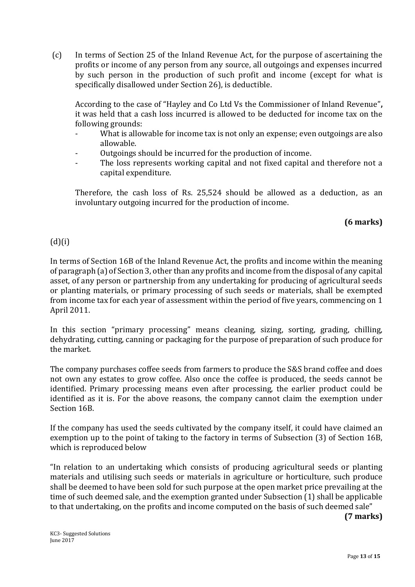(c) In terms of Section 25 of the Inland Revenue Act, for the purpose of ascertaining the profits or income of any person from any source, all outgoings and expenses incurred by such person in the production of such profit and income (except for what is specifically disallowed under Section 26), is deductible.

According to the case of "Hayley and Co Ltd Vs the Commissioner of Inland Revenue"**,** it was held that a cash loss incurred is allowed to be deducted for income tax on the following grounds:

- What is allowable for income tax is not only an expense; even outgoings are also allowable.
- Outgoings should be incurred for the production of income.
- The loss represents working capital and not fixed capital and therefore not a capital expenditure.

Therefore, the cash loss of Rs. 25,524 should be allowed as a deduction, as an involuntary outgoing incurred for the production of income.

# **(6 marks)**

# $(d)(i)$

In terms of Section 16B of the Inland Revenue Act, the profits and income within the meaning of paragraph (a) of Section 3, other than any profits and income from the disposal of any capital asset, of any person or partnership from any undertaking for producing of agricultural seeds or planting materials, or primary processing of such seeds or materials, shall be exempted from income tax for each year of assessment within the period of five years, commencing on 1 April 2011.

In this section "primary processing" means cleaning, sizing, sorting, grading, chilling, dehydrating, cutting, canning or packaging for the purpose of preparation of such produce for the market.

The company purchases coffee seeds from farmers to produce the S&S brand coffee and does not own any estates to grow coffee. Also once the coffee is produced, the seeds cannot be identified. Primary processing means even after processing, the earlier product could be identified as it is. For the above reasons, the company cannot claim the exemption under Section 16B.

If the company has used the seeds cultivated by the company itself, it could have claimed an exemption up to the point of taking to the factory in terms of Subsection (3) of Section 16B, which is reproduced below

"In relation to an undertaking which consists of producing agricultural seeds or planting materials and utilising such seeds or materials in agriculture or horticulture, such produce shall be deemed to have been sold for such purpose at the open market price prevailing at the time of such deemed sale, and the exemption granted under Subsection (1) shall be applicable to that undertaking, on the profits and income computed on the basis of such deemed sale"

**(7 marks)**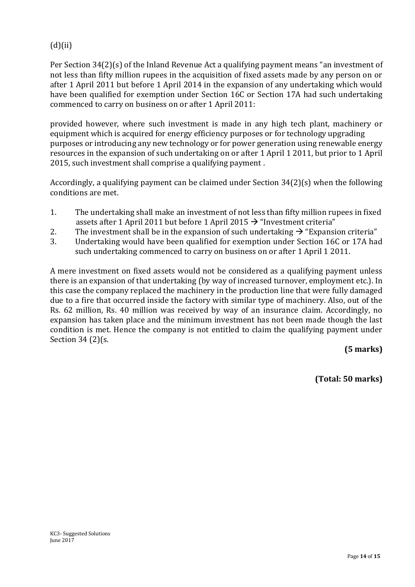# $(d)(ii)$

Per Section 34(2)(s) of the Inland Revenue Act a qualifying payment means "an investment of not less than fifty million rupees in the acquisition of fixed assets made by any person on or after 1 April 2011 but before 1 April 2014 in the expansion of any undertaking which would have been qualified for exemption under Section 16C or Section 17A had such undertaking commenced to carry on business on or after 1 April 2011:

provided however, where such investment is made in any high tech plant, machinery or equipment which is acquired for energy efficiency purposes or for technology upgrading purposes or introducing any new technology or for power generation using renewable energy resources in the expansion of such undertaking on or after 1 April 1 2011, but prior to 1 April 2015, such investment shall comprise a qualifying payment .

Accordingly, a qualifying payment can be claimed under Section 34(2)(s) when the following conditions are met.

- 1. The undertaking shall make an investment of not less than fifty million rupees in fixed assets after 1 April 2011 but before 1 April 2015  $\rightarrow$  "Investment criteria"
- 2. The investment shall be in the expansion of such undertaking  $\rightarrow$  "Expansion criteria"
- 3. Undertaking would have been qualified for exemption under Section 16C or 17A had such undertaking commenced to carry on business on or after 1 April 1 2011.

A mere investment on fixed assets would not be considered as a qualifying payment unless there is an expansion of that undertaking (by way of increased turnover, employment etc.). In this case the company replaced the machinery in the production line that were fully damaged due to a fire that occurred inside the factory with similar type of machinery. Also, out of the Rs. 62 million, Rs. 40 million was received by way of an insurance claim. Accordingly, no expansion has taken place and the minimum investment has not been made though the last condition is met. Hence the company is not entitled to claim the qualifying payment under Section 34 (2)(s.

# **(5 marks)**

**(Total: 50 marks)**